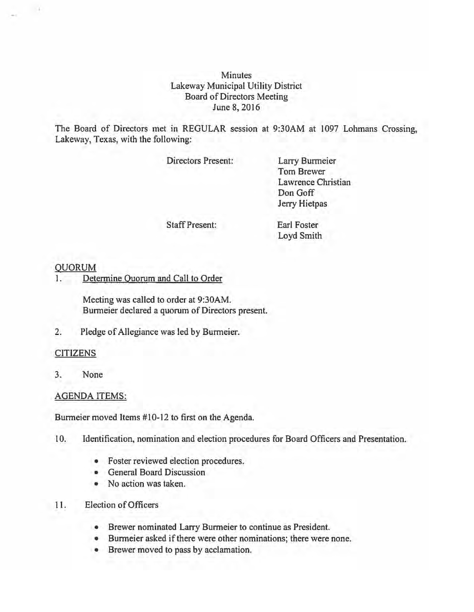**Minutes** Lakeway Municipal Utility District Board of Directors Meeting June 8, 2016

The Board of Directors met in REGULAR session at 9:30AM at 1097 Lohmans Crossing, Lakeway, Texas, with the following:

Directors Present:

Larry Burmeier Tom Brewer Lawrence Christian Don Goff Jerry Hietpas

Staff Present:

Earl Foster Loyd Smith

## QUORUM

 $-1$ 

1. Determine Quorum and Call to Order

Meeting was called to order at 9:30AM. Burmeier declared a quorum of Directors present.

2. Pledge of Allegiance was led by Burmeier.

## CITIZENS

3. None

## AGENDA ITEMS:

Burmeier moved Items #10-12 to first on the Agenda.

- 10. Identification, nomination and election procedures for Board Officers and Presentation.
	- Foster reviewed election procedures.
	- General Board Discussion
	- No action was taken.
- 11. Election of Officers
	- Brewer nominated Larry Burmeier to continue as President.
	- Burmeier asked if there were other nominations; there were none.
	- Brewer moved to pass by acclamation.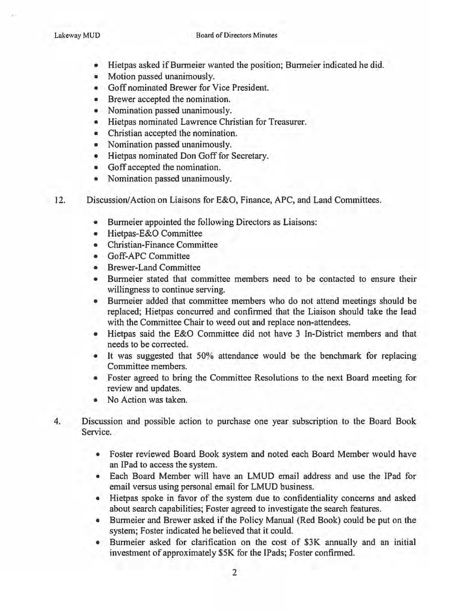- Hietpas asked if Burmeier wanted the position; Burmeier indicated he did.
- Motion passed unanimously.
- Goff nominated Brewer for Vice President.
- Brewer accepted the nomination.
- Nomination passed unanimously.
- Hietpas nominated Lawrence Christian for Treasurer.
- Christian accepted the nomination.
- Nomination passed unanimously.
- Hietpas nominated Don Goff for Secretary.
- Goff accepted the nomination.
- Nomination passed unanimously.
- 12. Discussion/Action on Liaisons for E&O, Finance, APC, and Land Committees.
	- Burmeier appointed the following Directors as Liaisons:
	- Hietpas-E&O Committee
	- Christian-Finance Committee
	- Goff-APC Committee
	- Brewer-Land Committee
	- Burmeier stated that committee members need to be contacted to ensure their willingness to continue serving.
	- Burmeier added that committee members who do not attend meetings should be replaced; Hietpas concurred and confirmed that the Liaison should take the lead with the Committee Chair to weed out and replace non-attendees.
	- Hietpas said the E&O Committee did not have 3 In-District members and that needs to be corrected.
	- It was suggested that 50% attendance would be the benchmark for replacing Committee members.
	- Foster agreed to bring the Committee Resolutions to the next Board meeting for review and updates.
	- No Action was taken.
- 4. Discussion and possible action to purchase one year subscription to the Board Book Service.
	- Foster reviewed Board Book system and noted each Board Member would have an IPad to access the system.
	- Each Board Member will have an LMUD email address and use the IPad for email versus using personal email for LMUD business.
	- Hietpas spoke in favor of the system due to confidentiality concerns and asked about search capabilities; Foster agreed to investigate the search features.
	- Burmeier and Brewer asked if the Policy Manual {Red Book) could be put on the system; Foster indicated he believed that it could.
	- Burmeier asked for clarification on the cost of \$3K annually and an initial investment of approximately \$5K for the IPads; Foster confirmed.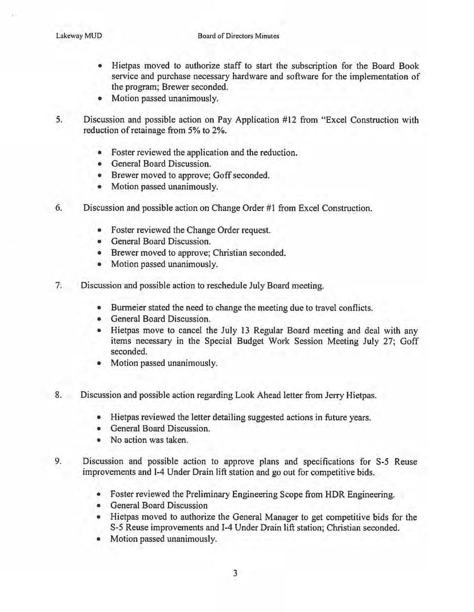- Hietpas moved to authorize staff to start the subscription for the Board Book service and purchase necessary hardware and software for the implementation of the program; Brewer seconded.
- Motion passed unanimously.
- 5. Discussion and possible action on Pay Application #12 from "Excel Construction with reduction of retainage from 5% to 2%.
	- Foster reviewed the application and the reduction.
	- General Board Discussion.
	- Brewer moved to approve; Goff seconded.
	- Motion passed unanimously.
- 6. Discussion and possible action on Change Order #1 from Excel Construction.
	- Foster reviewed the Change Order request.
	- General Board Discussion.
	- Brewer moved to approve; Christian seconded.
	- Motion passed unanimously.
- 7. Discussion and possible action to reschedule July Board meeting.
	- Burmeier stated the need to change the meeting due to travel conflicts.
	- General Board Discussion.
	- Hietpas move to cancel the July 13 Regular Board meeting and deal with any items necessary in the Special Budget Work Session Meeting July 27; Goff seconded.
	- Motion passed unanimously.
- 8. Discussion and possible action regarding Look Ahead letter from Jerry Hietpas.
	- Hietpas reviewed the letter detailing suggested actions in future years.
	- General Board Discussion.
	- No action was taken.
- 9. Discussion and possible action to approve plans and specifications for S-5 Reuse improvements and 1-4 Under Drain lift station and go out for competitive bids.
	- Foster reviewed the Preliminary Engineering Scope from HDR Engineering.
	- General Board Discussion
	- Hietpas moved to authorize the General Manager to get competitive bids for the S-5 Reuse improvements and 1-4 Under Drain lift station; Christian seconded.
	- Motion passed unanimously.